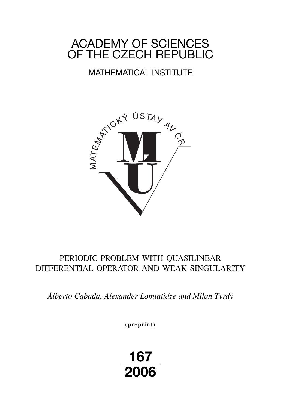# ACADEMY OF SCIENCES OF THE CZECH REPUBLIC

## MATHEMATICAL INSTITUTE



## PERIODIC PROBLEM WITH QUASILINEAR DIFFERENTIAL OPERATOR AND WEAK SINGULARITY

*Alberto Cabada, Alexander Lomtatidze and Milan Tvrdý*

 $(p$  reprint $)$ 

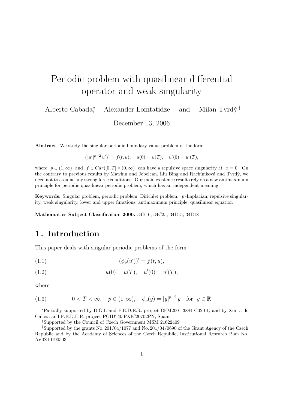# Periodic problem with quasilinear differential operator and weak singularity

Alberto Cabada<sup>∗</sup> Alexander Lomtatidze<sup>†</sup> and Milan Tvrd $\acute{v}$ <sup> $\ddag$ </sup>

December 13, 2006

Abstract. We study the singular periodic boundary value problem of the form

$$
(|u'|^{p-2}u')' = f(t, u), \quad u(0) = u(T), \quad u'(0) = u'(T),
$$

where  $p \in (1,\infty)$  and  $f \in Car([0,T] \times (0,\infty))$  can have a repulsive space singularity at  $x = 0$ . On the contrary to previous results by Mawhin and Jebelean, Liu Bing and Rachůnková and Tvrdý, we need not to assume any strong force conditions. Our main existence results rely on a new antimaximum principle for periodic quasilinear periodic problem, which has an independent meaning.

Keywords. Singular problem, periodic problem, Dirichlet problem, p -Laplacian, repulsive singularity, weak singularity, lower and upper functions, antimaximum principle, quasilinear equation

Mathematics Subject Classification 2000. 34B16, 34C25, 34B15, 34B18

### 1 . Introduction

This paper deals with singular periodic problems of the form

(1.1) 
$$
(\phi_p(u'))' = f(t, u),
$$

(1.2) 
$$
u(0) = u(T), \quad u'(0) = u'(T),
$$

where

(1.3) 
$$
0 < T < \infty, \quad p \in (1, \infty), \quad \phi_p(y) = |y|^{p-2}y \quad \text{for} \quad y \in \mathbb{R}
$$

<sup>∗</sup>Partially supported by D.G.I. and F.E.D.E.R. project BFM2001-3884-C02-01, and by Xunta de Galicia and F.E.D.E.R. project PGIDT05PXIC20702PN, Spain.

†Supported by the Council of Czech Government MSM 21622409

‡Supported by the grants No. 201/04/1077 and No. 201/04/0690 of the Grant Agency of the Czech Republic and by the Academy of Sciences of the Czech Republic, Institutional Research Plan No. AV0Z10190503.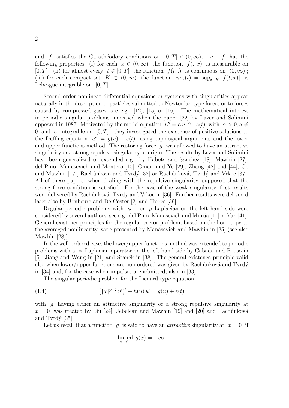and f satisfies the Carathéodory conditions on  $[0, T] \times (0, \infty)$ , i.e. f has the following properties: (i) for each  $x \in (0,\infty)$  the function  $f(.,x)$  is measurable on  $[0, T]$ ; (ii) for almost every  $t \in [0, T]$  the function  $f(t,.)$  is continuous on  $(0, \infty)$ ; (iii) for each compact set  $K \subset (0,\infty)$  the function  $m_K(t) = \sup_{x \in K} |f(t,x)|$  is Lebesgue integrable on  $[0, T]$ .

Second order nonlinear differential equations or systems with singularities appear naturally in the description of particles submitted to Newtonian type forces or to forces caused by compressed gases, see e.g. [12], [15] or [16]. The mathematical interest in periodic singular problems increased when the paper [22] by Lazer and Solimini appeared in 1987. Motivated by the model equation  $u'' = a u^{-\alpha} + e(t)$  with  $\alpha > 0, a \neq 0$ 0 and e integrable on  $[0, T]$ , they investigated the existence of positive solutions to the Duffing equation  $u'' = g(u) + e(t)$  using topological arguments and the lower and upper functions method. The restoring force  $q$  was allowed to have an attractive singularity or a strong repulsive singularity at origin. The results by Lazer and Solimini have been generalized or extended e.g. by Habets and Sanchez [18], Mawhin [27], del Pino, Manásevich and Montero [10], Omari and Ye [29], Zhang [42] and [44], Ge and Mawhin [17], Rachůnková and Tvrdý [32] or Rachůnková, Tvrdý and Vrkoč [37]. All of these papers, when dealing with the repulsive singularity, supposed that the strong force condition is satisfied. For the case of the weak singularity, first results were delivered by Rachůnková, Tvrdý and Vrkoč in [36]. Further results were delivered later also by Bonheure and De Coster [2] and Torres [39].

Regular periodic problems with  $\phi$ - or p-Laplacian on the left hand side were considered by several authors, see e.g. del Pino, Manásevich and Murúa [11] or Yan [41]. General existence principles for the regular vector problem, based on the homotopy to the averaged nonlinearity, were presented by Manásevich and Mawhin in [25] (see also Mawhin [28]).

In the well-ordered case, the lower/upper functions method was extended to periodic problems with a  $\phi$ -Laplacian operator on the left hand side by Cabada and Pouso in [5], Jiang and Wang in [21] and Staněk in [38]. The general existence principle valid also when lower/upper functions are non-ordered was given by Rachůnková and Tvrdý in [34] and, for the case when impulses are admitted, also in [33].

The singular periodic problem for the Liénard type equation

(1.4) 
$$
(|u'|^{p-2}u')' + h(u)u' = g(u) + e(t)
$$

with q having either an attractive singularity or a strong repulsive singularity at  $x = 0$  was treated by Liu [24], Jebelean and Mawhin [19] and [20] and Rachůnková and Tvrd $\circ$  [35].

Let us recall that a function q is said to have an *attractive* singularity at  $x = 0$  if

$$
\liminf_{x \to 0+} g(x) = -\infty.
$$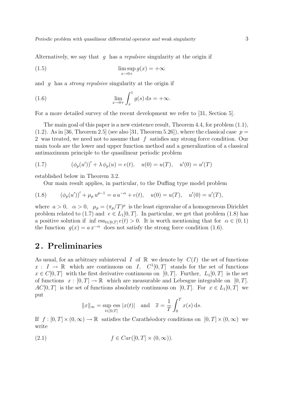Alternatively, we say that g has a repulsive singularity at the origin if

(1.5) 
$$
\limsup_{x \to 0+} g(x) = +\infty
$$

and g has a strong repulsive singularity at the origin if

(1.6) 
$$
\lim_{x \to 0+} \int_x^1 g(s) \, ds = +\infty.
$$

For a more detailed survey of the recent development we refer to [31, Section 5].

The main goal of this paper is a new existence result, Theorem 4.4, for problem (1.1),  $(1.2)$ . As in [36, Theorem 2.5] (see also [31, Theorem 5.26]), where the classical case  $p =$ 2 was treated, we need not to assume that  $f$  satisfies any strong force condition. Our main tools are the lower and upper function method and a generalization of a classical antimaximum principle to the quasilinear periodic problem

(1.7) 
$$
(\phi_p(u'))' + \lambda \phi_p(u) = e(t), \quad u(0) = u(T), \quad u'(0) = u'(T)
$$

established below in Theorem 3.2.

Our main result applies, in particular, to the Duffing type model problem

(1.8) 
$$
(\phi_p(u'))' + \mu_p u^{p-1} = a u^{-\alpha} + e(t), \quad u(0) = u(T), \quad u'(0) = u'(T),
$$

where  $a > 0$ ,  $\alpha > 0$ ,  $\mu_p = (\pi_p/T)^p$  is the least eigenvalue of a homogeneous Dirichlet problem related to (1.7) and  $e \in L_1[0,T]$ . In particular, we get that problem (1.8) has a positive solution if inf  $\operatorname{ess}_{t\in[0,T]} e(t) > 0$ . It is worth mentioning that for  $\alpha \in (0,1)$ the function  $g(x) = a x^{-\alpha}$  does not satisfy the strong force condition (1.6).

### 2 . Preliminaries

As usual, for an arbitrary subinterval I of  $\mathbb R$  we denote by  $C(I)$  the set of functions  $x: I \to \mathbb{R}$  which are continuous on I,  $C^1[0,T]$  stands for the set of functions  $x \in C[0,T]$  with the first derivative continuous on [0, T]. Further,  $L_1[0,T]$  is the set of functions  $x : [0, T] \to \mathbb{R}$  which are measurable and Lebesgue integrable on [0, T].  $AC[0,T]$  is the set of functions absolutely continuous on [0, T]. For  $x \in L_1[0,T]$  we put

$$
||x||_{\infty} = \sup_{t \in [0,T]} \text{ess } |x(t)|
$$
 and  $\overline{x} = \frac{1}{T} \int_0^T x(s) \,ds.$ 

If  $f : [0, T] \times (0, \infty) \to \mathbb{R}$  satisfies the Carathéodory conditions on  $[0, T] \times (0, \infty)$  we write

$$
(2.1) \t\t f \in Car([0, T] \times (0, \infty)).
$$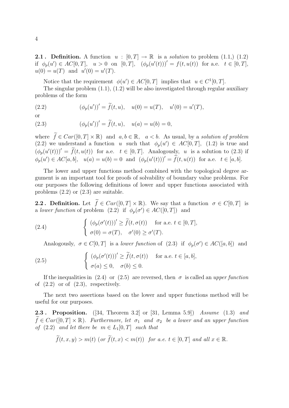**2.1**. Definition. A function  $u : [0, T] \to \mathbb{R}$  is a *solution* to problem (1.1,) (1.2) if  $\phi_p(u') \in AC[0,T], \quad u > 0 \text{ on } [0,T], \quad (\phi_p(u'(t)))' = f(t,u(t)) \text{ for a.e. } t \in [0,T],$  $u(0) = u(T)$  and  $u'(0) = u'(T)$ .

Notice that the requirement  $\phi(u') \in AC[0,T]$  implies that  $u \in C^1[0,T]$ .

The singular problem (1.1), (1.2) will be also investigated through regular auxiliary problems of the form

(2.2) 
$$
(\phi_p(u'))' = \tilde{f}(t, u), \quad u(0) = u(T), \quad u'(0) = u'(T),
$$

or

(2.3) 
$$
(\phi_p(u'))' = \tilde{f}(t, u), \quad u(a) = u(b) = 0,
$$

where  $\widetilde{f} \in Car([0, T] \times \mathbb{R})$  and  $a, b \in \mathbb{R}$ ,  $a < b$ . As usual, by a solution of problem (2.2) we understand a function u such that  $\phi_p(u') \in AC[0,T]$ , (1.2) is true and  $(\phi_p(u'(t)))' = \tilde{f}(t, u(t))$  for a.e.  $t \in [0, T]$ . Analogously, u is a solution to (2.3) if  $\phi_p(u') \in AC[a, b], \quad u(a) = u(b) = 0 \text{ and } (\phi_p(u'(t)))' = \tilde{f}(t, u(t)) \text{ for a.e. } t \in [a, b].$ 

The lower and upper functions method combined with the topological degree argument is an important tool for proofs of solvability of boundary value problems. For our purposes the following definitions of lower and upper functions associated with problems (2.2) or (2.3) are suitable.

**2.2.** Definition. Let  $\tilde{f} \in Car([0,T] \times \mathbb{R})$ . We say that a function  $\sigma \in C[0,T]$  is a lower function of problem  $(2.2)$  if  $\phi_p(\sigma') \in AC([0,T])$  and

(2.4) 
$$
\begin{cases} (\phi_p(\sigma'(t)))' \geq \tilde{f}(t, \sigma(t)) & \text{for a.e. } t \in [0, T], \\ \sigma(0) = \sigma(T), & \sigma'(0) \geq \sigma'(T). \end{cases}
$$

Analogously,  $\sigma \in C[0,T]$  is a *lower function* of (2.3) if  $\phi_p(\sigma') \in AC([a, b])$  and

(2.5) 
$$
\begin{cases} (\phi_p(\sigma'(t)))' \geq \tilde{f}(t, \sigma(t)) & \text{for a.e. } t \in [a, b], \\ \sigma(a) \leq 0, \quad \sigma(b) \leq 0. \end{cases}
$$

If the inequalities in (2.4) or (2.5) are reversed, then  $\sigma$  is called an upper function of  $(2.2)$  or of  $(2.3)$ , respectively.

The next two assertions based on the lower and upper functions method will be useful for our purposes.

**2.3. Proposition.** ([34, Theorem 3.2] or [31, Lemma 5.9]) Assume (1.3) and  $f \in Car([0,T] \times \mathbb{R})$ . Furthermore, let  $\sigma_1$  and  $\sigma_2$  be a lower and an upper function of (2.2) and let there be  $m \in L_1[0,T]$  such that

$$
\widetilde{f}(t,x,y) > m(t) \text{ (or } \widetilde{f}(t,x) < m(t) \text{) for a.e. } t \in [0,T] \text{ and all } x \in \mathbb{R}.
$$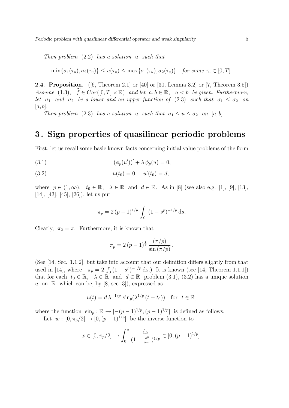Then problem  $(2.2)$  has a solution u such that

$$
\min\{\sigma_1(\tau_u), \sigma_2(\tau_u)\} \le u(\tau_u) \le \max\{\sigma_1(\tau_u), \sigma_2(\tau_u)\} \quad \text{for some } \tau_u \in [0, T].
$$

2.4 . Proposition. ([6, Theorem 2.1] or [40] or [30, Lemma 3.2] or [7, Theorem 3.5]) Assume (1.3),  $\widetilde{f} \in Car([0,T] \times \mathbb{R})$  and let  $a, b \in \mathbb{R}$ ,  $a < b$  be given. Furthermore, let  $\sigma_1$  and  $\sigma_2$  be a lower and an upper function of (2.3) such that  $\sigma_1 \leq \sigma_2$  on  $|a, b|$ .

Then problem (2.3) has a solution u such that  $\sigma_1 \le u \le \sigma_2$  on [a, b].

### 3 . Sign properties of quasilinear periodic problems

First, let us recall some basic known facts concerning initial value problems of the form

(3.1) 
$$
(\phi_p(u'))' + \lambda \phi_p(u) = 0,
$$

(3.2) 
$$
u(t_0) = 0, \quad u'(t_0) = d,
$$

where  $p \in (1,\infty)$ ,  $t_0 \in \mathbb{R}$ ,  $\lambda \in \mathbb{R}$  and  $d \in \mathbb{R}$ . As in [8] (see also e.g. [1], [9], [13], [14], [43], [45], [26]), let us put

$$
\pi_p = 2 (p-1)^{1/p} \int_0^1 (1 - s^p)^{-1/p} \, \mathrm{d} s.
$$

Clearly,  $\pi_2 = \pi$ . Furthermore, it is known that

$$
\pi_p = 2 (p-1)^{\frac{1}{p}} \frac{(\pi/p)}{\sin{(\pi/p)}}.
$$

(See [14, Sec. 1.1.2], but take into account that our definition differs slightly from that (see [14, sec. 1.1.2], but take the account that our definition differs signity from that used in [14], where  $\pi_p = 2 \int_0^1 (1 - s^p)^{-1/p} ds$ .) It is known (see [14, Theorem 1.1.1]) that for each  $t_0 \in \mathbb{R}$ ,  $\lambda \in \mathbb{R}$  and  $d \in \mathbb{R}$  problem (3.1), (3.2) has a unique solution u on  $\mathbb R$  which can be, by [8, sec. 3]), expressed as

$$
u(t) = d\,\lambda^{-1/p} \, \sin_p(\lambda^{1/p} \, (t - t_0)) \quad \text{for} \ \ t \in \mathbb{R},
$$

where the function  $\sin_p : \mathbb{R} \to [-(p-1)^{1/p}, (p-1)^{1/p}]$  is defined as follows. Let  $w : [0, \pi_p/2] \to [0, (p-1)^{1/p}]$  be the inverse function to

$$
x \in [0, \pi_p/2] \mapsto \int_0^x \frac{\mathrm{d}s}{(1 - \frac{s^p}{p-1})^{1/p}} \in [0, (p-1)^{1/p}].
$$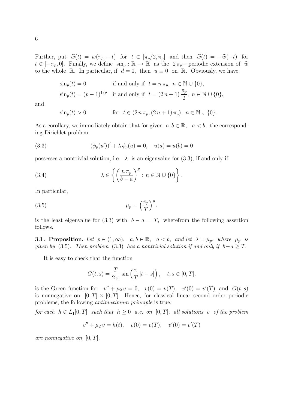Further, put  $\widetilde{w}(t) = w(\pi_p - t)$  for  $t \in [\pi_p/2, \pi_p]$  and then  $\widetilde{w}(t) = -\widetilde{w}(-t)$  for  $t \in [-\pi_p, 0]$ . Finally, we define  $\sin_p : \mathbb{R} \to \mathbb{R}$  as the  $2\pi_p$  periodic extension of  $\tilde{w}$ to the whole R. In particular, if  $d = 0$ , then  $u \equiv 0$  on R. Obviously, we have

$$
\sin_p(t) = 0 \qquad \text{if and only if} \quad t = n \pi_p, \ n \in \mathbb{N} \cup \{0\},
$$

$$
\sin_p(t) = (p-1)^{1/p} \quad \text{if and only if} \quad t = (2n+1)\frac{\pi_p}{2}, \ n \in \mathbb{N} \cup \{0\},
$$

and

$$
\sin_p(t) > 0
$$
 for  $t \in (2 n \pi_p, (2 n + 1) \pi_p), n \in \mathbb{N} \cup \{0\}.$ 

As a corollary, we immediately obtain that for given  $a, b \in \mathbb{R}$ ,  $a < b$ , the corresponding Dirichlet problem

(3.3) 
$$
(\phi_p(u'))' + \lambda \phi_p(u) = 0, \quad u(a) = u(b) = 0
$$

possesses a nontrivial solution, i.e.  $\lambda$  is an eigenvalue for (3.3), if and only if

(3.4) 
$$
\lambda \in \left\{ \left( \frac{n \pi_p}{b-a} \right)^p : n \in \mathbb{N} \cup \{0\} \right\}.
$$

In particular,

(3.5) 
$$
\mu_p = \left(\frac{\pi_p}{T}\right)^p.
$$

is the least eigenvalue for (3.3) with  $b - a = T$ , wherefrom the following assertion follows.

**3.1. Proposition.** Let  $p \in (1,\infty)$ ,  $a, b \in \mathbb{R}$ ,  $a < b$ , and let  $\lambda = \mu_p$ , where  $\mu_p$  is given by (3.5). Then problem (3.3) has a nontrivial solution if and only if  $b-a \geq T$ .

It is easy to check that the function

$$
G(t,s) = \frac{T}{2\pi} \sin\left(\frac{\pi}{T}|t-s|\right), \quad t,s \in [0,T],
$$

is the Green function for  $v'' + \mu_2 v = 0$ ,  $v(0) = v(T)$ ,  $v'(0) = v'(T)$  and  $G(t, s)$ is nonnegative on  $[0, T] \times [0, T]$ . Hence, for classical linear second order periodic problems, the following antimaximum principle is true:

for each  $h \in L_1[0,T]$  such that  $h \geq 0$  a.e. on  $[0,T]$ , all solutions v of the problem

$$
v'' + \mu_2 v = h(t), \quad v(0) = v(T), \quad v'(0) = v'(T)
$$

are nonnegative on  $[0, T]$ .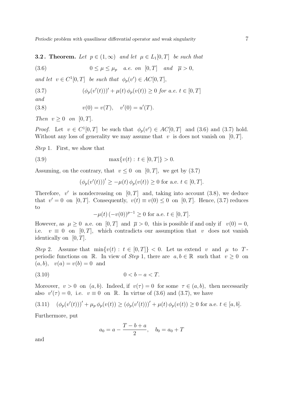**3.2.** Theorem. Let  $p \in (1,\infty)$  and let  $\mu \in L_1[0,T]$  be such that

(3.6) 
$$
0 \leq \mu \leq \mu_p \quad a.e. \text{ on } [0, T] \quad \text{and} \quad \overline{\mu} > 0,
$$

and let  $v \in C^1[0,T]$  be such that  $\phi_p(v') \in AC[0,T]$ ,

(3.7) 
$$
(\phi_p(v'(t)))' + \mu(t) \phi_p(v(t)) \ge 0 \text{ for a.e. } t \in [0, T]
$$

and

(3.8) 
$$
v(0) = v(T), \quad v'(0) = u'(T).
$$

Then  $v \geq 0$  on  $[0, T]$ .

*Proof.* Let  $v \in C^1[0,T]$  be such that  $\phi_p(v') \in AC[0,T]$  and (3.6) and (3.7) hold. Without any loss of generality we may assume that  $v$  is does not vanish on [0, T].

Step 1. First, we show that

(3.9) 
$$
\max\{v(t): t \in [0, T]\} > 0.
$$

Assuming, on the contrary, that  $v \leq 0$  on  $[0, T]$ , we get by  $(3.7)$ 

$$
(\phi_p(v'(t)))' \ge -\mu(t) \phi_p(v(t)) \ge 0
$$
 for a.e.  $t \in [0, T]$ .

Therefore,  $v'$  is nondecreasing on  $[0, T]$  and, taking into account (3.8), we deduce that  $v' = 0$  on [0, T]. Consequently,  $v(t) \equiv v(0) \leq 0$  on [0, T]. Hence, (3.7) reduces to

$$
-\mu(t) \, (-v(0))^{p-1} \ge 0 \text{ for a.e. } t \in [0, T].
$$

However, as  $\mu > 0$  a.e. on  $[0, T]$  and  $\overline{\mu} > 0$ , this is possible if and only if  $v(0) = 0$ , i.e.  $v \equiv 0$  on [0, T], which contradicts our assumption that v does not vanish identically on  $[0, T]$ .

Step 2. Assume that  $\min\{v(t): t \in [0,T]\} < 0$ . Let us extend v and  $\mu$  to Tperiodic functions on R. In view of Step 1, there are  $a, b \in \mathbb{R}$  such that  $v \ge 0$  on  $(a, b), v(a) = v(b) = 0$  and

$$
(3.10) \t\t 0 < b - a < T.
$$

Moreover,  $v > 0$  on  $(a, b)$ . Indeed, if  $v(\tau) = 0$  for some  $\tau \in (a, b)$ , then necessarily also  $v'(\tau) = 0$ , i.e.  $v \equiv 0$  on R. In virtue of (3.6) and (3.7), we have

$$
(3.11) \quad (\phi_p(v'(t)))' + \mu_p \phi_p(v(t)) \ge (\phi_p(v'(t)))' + \mu(t) \phi_p(v(t)) \ge 0 \text{ for a.e. } t \in [a, b].
$$

Furthermore, put

$$
a_0 = a - \frac{T - b + a}{2}, \quad b_0 = a_0 + T
$$

and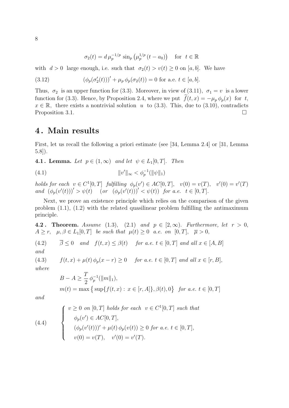$$
\sigma_2(t) = d\,\mu_p^{-1/p} \, \sin_p \left(\mu_p^{1/p} \left(t - a_0\right)\right) \quad \text{for} \ \ t \in \mathbb{R}
$$

with  $d > 0$  large enough, i.e. such that  $\sigma_2(t) > v(t) \geq 0$  on [a, b]. We have

(3.12) 
$$
(\phi_p(\sigma'_2(t)))' + \mu_p \phi_p(\sigma_2(t)) = 0 \text{ for a.e. } t \in [a, b].
$$

Thus,  $\sigma_2$  is an upper function for (3.3). Moreover, in view of (3.11),  $\sigma_1 = v$  is a lower function for (3.3). Hence, by Proposition 2.4, where we put  $f(t, x) = -\mu_p \phi_p(x)$  for t,  $x \in \mathbb{R}$ , there exists a nontrivial solution u to (3.3). This, due to (3.10), contradicts Proposition 3.1.  $\Box$ 

### 4 . Main results

First, let us recall the following a priori estimate (see [34, Lemma 2.4] or [31, Lemma 5.8]).

4.1. Lemma. Let  $p \in (1,\infty)$  and let  $\psi \in L_1[0,T]$ . Then

(4.1) 
$$
||v'||_{\infty} < \phi_p^{-1}(||\psi||_1)
$$

holds for each  $v \in C^1[0,T]$  fulfilling  $\phi_p(v') \in AC[0,T]$ ,  $v(0) = v(T)$ ,  $v'(0) = v'(T)$ and  $(\phi_p(v'(t)))' > \psi(t)$  (or  $(\phi_p(v'(t)))' < \psi(t)$ ) for a.e.  $t \in [0, T]$ .

Next, we prove an existence principle which relies on the comparison of the given problem  $(1.1)$ ,  $(1.2)$  with the related quasilinear problem fulfilling the antimaximum principle.

4.2. Theorem. Assume (1.3), (2.1) and  $p \in [2,\infty)$ . Furthermore, let  $r > 0$ ,  $A \geq r$ ,  $\mu, \beta \in L_1[0,T]$  be such that  $\mu(t) \geq 0$  a.e. on  $[0,T]$ ,  $\overline{\mu} > 0$ ,

(4.2)  $\overline{\beta}$  < 0 and  $f(t, x)$  <  $\beta$ (t) for a.e.  $t \in [0, T]$  and all  $x \in [A, B]$ and

(4.3)  $f(t, x) + \mu(t) \phi_p(x - r) \ge 0$  for a.e.  $t \in [0, T]$  and all  $x \in [r, B]$ ,

$$
where
$$

$$
B - A \ge \frac{T}{2} \phi_p^{-1}(\|m\|_1),
$$
  
 
$$
m(t) = \max \{ \sup\{f(t, x) : x \in [r, A]\}, \beta(t), 0 \} \text{ for a.e. } t \in [0, T]
$$

and

(4.4) 
$$
\begin{cases} v \ge 0 \text{ on } [0, T] \text{ holds for each } v \in C^{1}[0, T] \text{ such that} \\ \phi_{p}(v') \in AC[0, T], \\ (\phi_{p}(v'(t)))' + \mu(t) \phi_{p}(v(t)) \ge 0 \text{ for a.e. } t \in [0, T], \\ v(0) = v(T), \quad v'(0) = v'(T). \end{cases}
$$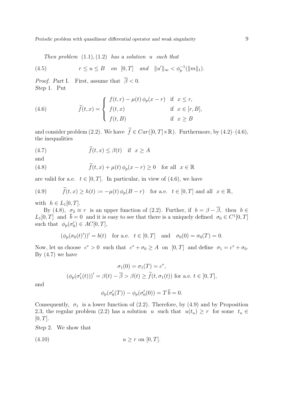Periodic problem with quasilinear differential operator and weak singularity 9

Then problem  $(1.1), (1.2)$  has a solution u such that

(4.5) 
$$
r \le u \le B
$$
 on [0,T] and  $||u'||_{\infty} < \phi_p^{-1}(||m||_1)$ .

*Proof.* Part I. First, assume that  $\overline{\beta} < 0$ . Step 1. Put

(4.6) 
$$
\widetilde{f}(t,x) = \begin{cases} f(t,r) - \mu(t) \phi_p(x-r) & \text{if } x \le r, \\ f(t,x) & \text{if } x \in [r, B], \\ f(t,B) & \text{if } x \ge B \end{cases}
$$

and consider problem (2.2). We have  $\tilde{f} \in Car([0, T] \times \mathbb{R})$ . Furthermore, by (4.2)–(4.6), the inequalities

(4.7) 
$$
\widetilde{f}(t,x) \le \beta(t)
$$
 if  $x \ge A$ 

and

(4.8) 
$$
\widetilde{f}(t,x) + \mu(t)\,\phi_p(x-r) \ge 0 \quad \text{for all} \ \ x \in \mathbb{R}
$$

are valid for a.e.  $t \in [0, T]$ . In particular, in view of (4.6), we have

(4.9) 
$$
\widetilde{f}(t,x) \ge h(t) := -\mu(t)\phi_p(B-r)
$$
 for a.e.  $t \in [0,T]$  and all  $x \in \mathbb{R}$ ,

with  $h \in L_1[0,T]$ .

By (4.8),  $\sigma_2 \equiv r$  is an upper function of (2.2). Further, if  $b = \beta - \overline{\beta}$ , then  $b \in$  $L_1[0,T]$  and  $\bar{b}=0$  and it is easy to see that there is a uniquely defined  $\sigma_0 \in C^1[0,T]$ such that  $\phi_p(\sigma'_0) \in AC[0,T],$ 

$$
(\phi_p(\sigma_0(t)'))' = b(t)
$$
 for a.e.  $t \in [0, T]$  and  $\sigma_0(0) = \sigma_0(T) = 0$ .

Now, let us choose  $c^* > 0$  such that  $c^* + \sigma_0 \geq A$  on  $[0, T]$  and define  $\sigma_1 = c^* + \sigma_0$ . By  $(4.7)$  we have

$$
\sigma_1(0) = \sigma_1(T) = c^*,
$$
  

$$
(\phi_p(\sigma'_1(t)))' = \beta(t) - \overline{\beta} > \beta(t) \ge \widetilde{f}(t, \sigma_1(t)) \text{ for a.e. } t \in [0, T],
$$

and

$$
\phi_p(\sigma'_0(T)) - \phi_p(\sigma'_0(0)) = T\overline{b} = 0.
$$

Consequently,  $\sigma_1$  is a lower function of (2.2). Therefore, by (4.9) and by Proposition 2.3, the regular problem (2.2) has a solution u such that  $u(t_u) \geq r$  for some  $t_u \in$  $[0, T]$ .

Step 2. We show that

$$
(4.10) \t\t u \ge r \text{ on } [0, T].
$$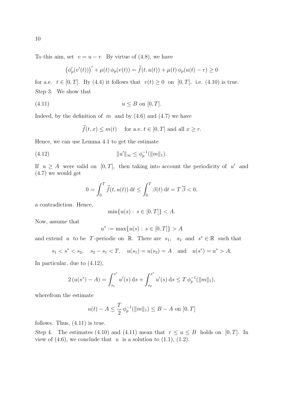To this aim, set  $v = u - r$ . By virtue of (4.8), we have

$$
\left(\phi_p'(v'(t))\right)' + \mu(t)\,\phi_p(v(t)) = \widetilde{f}(t,u(t)) + \mu(t)\,\phi_p(u(t) - r) \ge 0
$$

for a.e.  $t \in [0, T]$ . By (4.4) it follows that  $v(t) \geq 0$  on  $[0, T]$ , i.e. (4.10) is true. Step 3. We show that

$$
(4.11) \t\t u \le B \t on [0, T].
$$

Indeed, by the definition of m and by  $(4.6)$  and  $(4.7)$  we have

$$
\widetilde{f}(t,x) \le m(t)
$$
 for a.e.  $t \in [0,T]$  and all  $x \ge r$ .

Hence, we can use Lemma 4.1 to get the estimate

(4.12) 
$$
||u'||_{\infty} \leq \phi_p^{-1}(||m||_1).
$$

If  $u \geq A$  were valid on [0, T], then taking into account the periodicity of u' and (4.7) we would get

$$
0 = \int_0^T \widetilde{f}(t, u(t)) dt \le \int_0^T \beta(t) dt = T \overline{\beta} < 0,
$$

a contradiction. Hence,

 $\min\{u(s): s \in [0,T]\} < A.$ 

Now, assume that

$$
u^* := \max\{u(s) : s \in [0, T]\} > A
$$

and extend u to be T-periodic on R. There are  $s_1$ ,  $s_2$  and  $s^* \in \mathbb{R}$  such that

$$
s_1 < s^* < s_2
$$
,  $s_2 - s_1 < T$ ,  $u(s_1) = u(s_2) = A$  and  $u(s^*) = u^* > A$ .

In particular, due to (4.12),

$$
2(u(s^*) - A) = \int_{s_1}^{s^*} u'(s) \, ds + \int_{s_2}^{s^*} u'(s) \, ds \le T \, \phi_p^{-1}(\|m\|_1),
$$

wherefrom the estimate

$$
u(t) - A \le \frac{T}{2} \phi_p^{-1}(\|m\|_1) \le B - A \text{ on } [0, T]
$$

follows. Thus, (4.11) is true.

Step 4. The estimates (4.10) and (4.11) mean that  $r \le u \le B$  holds on [0, T]. In view of  $(4.6)$ , we conclude that u is a solution to  $(1.1)$ ,  $(1.2)$ .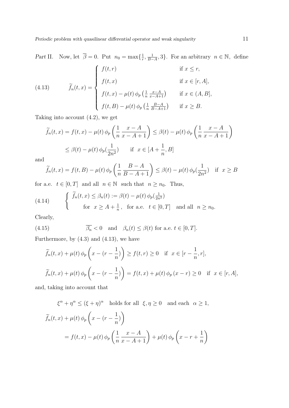Part II. Now, let  $\overline{\beta} = 0$ . Put  $n_0 = \max\{\frac{1}{r}\}$  $\frac{1}{r}, \frac{1}{B-}$  $\frac{1}{B-A}$ , 3}. For an arbitrary  $n \in \mathbb{N}$ , define  $\overline{a}$ 

(4.13) 
$$
\widetilde{f}_n(t,x) = \begin{cases}\nf(t,r) & \text{if } x \le r, \\
f(t,x) & \text{if } x \in [r,A], \\
f(t,x) - \mu(t) \phi_p\left(\frac{1}{n} \frac{x-A}{x-A+1}\right) & \text{if } x \in (A,B], \\
f(t,B) - \mu(t) \phi_p\left(\frac{1}{n} \frac{B-A}{B-A+1}\right) & \text{if } x \ge B.\n\end{cases}
$$

Taking into account  $(4.2)$ , we get

$$
\widetilde{f}_n(t,x) = f(t,x) - \mu(t) \phi_p\left(\frac{1}{n} \frac{x-A}{x-A+1}\right) \le \beta(t) - \mu(t) \phi_p\left(\frac{1}{n} \frac{x-A}{x-A+1}\right)
$$
\n
$$
\le \beta(t) - \mu(t) \phi_p\left(\frac{1}{2n^2}\right) \quad \text{if } x \in [A + \frac{1}{n}, B]
$$

and

$$
\widetilde{f}_n(t,x) = f(t,B) - \mu(t)\,\phi_p\left(\frac{1}{n}\frac{B-A}{B-A+1}\right) \le \beta(t) - \mu(t)\,\phi_p\left(\frac{1}{2n^2}\right) \quad \text{if} \quad x \ge B
$$

for a.e.  $t \in [0, T]$  and all  $n \in \mathbb{N}$  such that  $n \ge n_0$ . Thus,

(4.14) 
$$
\begin{cases} \widetilde{f}_n(t,x) \leq \beta_n(t) := \beta(t) - \mu(t) \phi_p(\frac{1}{2n^2}) \\ \text{for } x \geq A + \frac{1}{n}, \text{ for a.e. } t \in [0,T] \text{ and all } n \geq n_0. \end{cases}
$$

Clearly,

(4.15) 
$$
\overline{\beta_n} < 0 \quad \text{and} \quad \beta_n(t) \leq \beta(t) \text{ for a.e. } t \in [0, T].
$$

Furthermore, by  $(4.3)$  and  $(4.13)$ , we have

$$
\widetilde{f}_n(t,x) + \mu(t)\phi_p\left(x - (r - \frac{1}{n})\right) \ge f(t,r) \ge 0 \quad \text{if } x \in [r - \frac{1}{n}, r],
$$
\n
$$
\widetilde{f}_n(t,x) + \mu(t)\phi_p\left(x - (r - \frac{1}{n})\right) = f(t,x) + \mu(t)\phi_p(x - r) \ge 0 \quad \text{if } x \in [r, A],
$$

and, taking into account that

$$
\xi^{\alpha} + \eta^{\alpha} \le (\xi + \eta)^{\alpha} \text{ holds for all } \xi, \eta \ge 0 \text{ and each } \alpha \ge 1,
$$
  

$$
\widetilde{f}_n(t, x) + \mu(t) \phi_p \left( x - (r - \frac{1}{n}) \right)
$$
  

$$
= f(t, x) - \mu(t) \phi_p \left( \frac{1}{n} \frac{x - A}{x - A + 1} \right) + \mu(t) \phi_p \left( x - r + \frac{1}{n} \right)
$$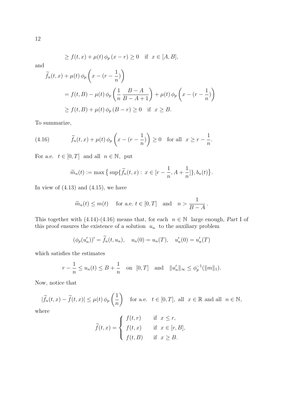$$
\geq f(t,x) + \mu(t)\,\phi_p\,(x-r) \geq 0 \quad \text{if } x \in [A,B],
$$

and

$$
\widetilde{f}_n(t,x) + \mu(t) \phi_p\left(x - (r - \frac{1}{n})\right)
$$
  
=  $f(t, B) - \mu(t) \phi_p\left(\frac{1}{n} \frac{B - A}{B - A + 1}\right) + \mu(t) \phi_p\left(x - (r - \frac{1}{n})\right)$   
 $\ge f(t, B) + \mu(t) \phi_p(B - r) \ge 0$  if  $x \ge B$ .

To summarize,

(4.16) 
$$
\widetilde{f}_n(t,x) + \mu(t) \phi_p\left(x - (r - \frac{1}{n})\right) \ge 0 \text{ for all } x \ge r - \frac{1}{n}.
$$

For a.e.  $t \in [0, T]$  and all  $n \in \mathbb{N}$ , put

$$
\widetilde{m}_n(t) := \max \left\{ \sup \{ \widetilde{f}_n(t,x) : x \in [r - \frac{1}{n}, A + \frac{1}{n}] \}, b_n(t) \right\}.
$$

In view of  $(4.13)$  and  $(4.15)$ , we have

$$
\widetilde{m}_n(t) \le m(t)
$$
 for a.e.  $t \in [0, T]$  and  $n > \frac{1}{B - A}$ .

This together with (4.14)-(4.16) means that, for each  $n \in \mathbb{N}$  large enough, Part I of this proof ensures the existence of a solution  $u_n$  to the auxiliary problem

$$
(\phi_p(u'_n))' = \widetilde{f}_n(t, u_n), \quad u_n(0) = u_n(T), \quad u'_n(0) = u'_n(T)
$$

which satisfies the estimates

$$
r - \frac{1}{n} \le u_n(t) \le B + \frac{1}{n}
$$
 on  $[0, T]$  and  $||u'_n||_{\infty} \le \phi_p^{-1}(||m||_1)$ .

Now, notice that

 $|\widetilde{f}_n(t,x) - \widetilde{f}(t,x)| \leq \mu(t) \phi_p$  $\overline{a}$ 1 n  $\mathbf{r}$ for a.e.  $t \in [0, T]$ , all  $x \in \mathbb{R}$  and all  $n \in \mathbb{N}$ ,

where

$$
\widetilde{f}(t,x) = \begin{cases}\nf(t,r) & \text{if } x \le r, \\
f(t,x) & \text{if } x \in [r, B], \\
f(t,B) & \text{if } x \ge B.\n\end{cases}
$$

12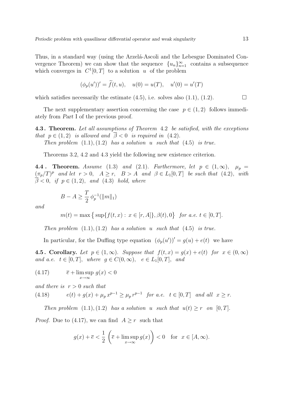Thus, in a standard way (using the Arzela-Ascoli and the Lebesgue Dominated Convergence Theorem) we can show that the sequence  ${u_n}_{n=1}^{\infty}$  contains a subsequence which converges in  $C^1[0,T]$  to a solution u of the problem

$$
(\phi_p(u'))' = \tilde{f}(t, u), \quad u(0) = u(T), \quad u'(0) = u'(T)
$$

which satisfies necessarily the estimate  $(4.5)$ , i.e. solves also  $(1.1)$ ,  $(1.2)$ .

The next supplementary assertion concerning the case  $p \in (1, 2)$  follows immediately from Part I of the previous proof.

4.3 . Theorem. Let all assumptions of Theorem 4.2 be satisfied, with the exceptions that  $p \in (1, 2)$  is allowed and  $\overline{\beta} < 0$  is required in (4.2).

Then problem  $(1.1), (1.2)$  has a solution u such that  $(4.5)$  is true.

Theorems 3.2, 4.2 and 4.3 yield the following new existence criterion.

4.4. Theorem. Assume (1.3) and (2.1). Furthermore, let  $p \in (1,\infty)$ ,  $\mu_p =$  $(\pi_p/T)^p$  and let  $r > 0$ ,  $A \ge r$ ,  $B > A$  and  $\beta \in L_1[0,T]$  be such that (4.2), with  $\overline{\beta}$  < 0, if  $p \in (1, 2)$ , and (4.3) hold, where

$$
B - A \ge \frac{T}{2} \phi_p^{-1}(\|m\|_1)
$$

and

$$
m(t) = \max\big\{\sup\{f(t,x): x \in [r,A]\}, \beta(t), 0\big\} \text{ for a.e. } t \in [0,T].
$$

Then problem  $(1.1), (1.2)$  has a solution u such that  $(4.5)$  is true.

In particular, for the Duffing type equation  $(\phi_p(u))' = g(u) + e(t)$  we have

4.5. Corollary. Let  $p \in (1,\infty)$ . Suppose that  $f(t,x) = g(x) + e(t)$  for  $x \in (0,\infty)$ and a.e.  $t \in [0, T]$ , where  $g \in C(0, \infty)$ ,  $e \in L_1[0, T]$ , and

(4.17) 
$$
\overline{e} + \limsup_{x \to \infty} g(x) < 0
$$

and there is  $r > 0$  such that  $p-1$   $\sim$  $p-1$   $c$ 

(4.18) 
$$
e(t) + g(x) + \mu_p x^{p-1} \ge \mu_p r^{p-1} \text{ for a.e. } t \in [0, T] \text{ and all } x \ge r.
$$

Then problem  $(1.1), (1.2)$  has a solution u such that  $u(t) \geq r$  on  $[0, T]$ .

*Proof.* Due to (4.17), we can find  $A \geq r$  such that

$$
g(x) + \overline{e} < \frac{1}{2} \left( \overline{e} + \limsup_{x \to \infty} g(x) \right) < 0 \quad \text{for} \quad x \in [A, \infty).
$$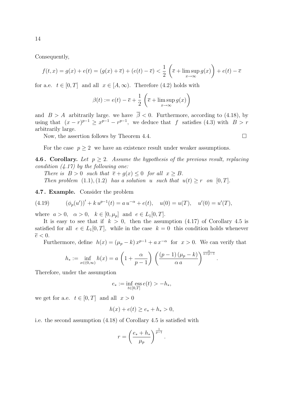Consequently,

$$
f(t,x) = g(x) + e(t) = (g(x) + \overline{e}) + (e(t) - \overline{e}) < \frac{1}{2} \left( \overline{e} + \limsup_{x \to \infty} g(x) \right) + e(t) - \overline{e}
$$

for a.e.  $t \in [0, T]$  and all  $x \in [A, \infty)$ . Therefore (4.2) holds with

$$
\beta(t) := e(t) - \overline{e} + \frac{1}{2} \left( \overline{e} + \limsup_{x \to \infty} g(x) \right)
$$

and  $B > A$  arbitrarily large. we have  $\overline{\beta} < 0$ . Furthermore, according to (4.18), by using that  $(x - r)^{p-1} \ge x^{p-1} - r^{p-1}$ , we deduce that f satisfies (4.3) with  $B > r$ arbitrarily large.

Now, the assertion follows by Theorem 4.4.  $\Box$ 

For the case  $p \geq 2$  we have an existence result under weaker assumptions.

**4.6. Corollary.** Let  $p \geq 2$ . Assume the hypothesis of the previous result, replacing condition  $(4.17)$  by the following one:

There is  $B > 0$  such that  $\overline{e} + g(x) \leq 0$  for all  $x \geq B$ .

Then problem  $(1.1), (1.2)$  has a solution u such that  $u(t) \geq r$  on  $[0, T]$ .

4.7 . Example. Consider the problem

(4.19) 
$$
(\phi_p(u'))' + k u^{p-1}(t) = a u^{-\alpha} + e(t), \quad u(0) = u(T), \quad u'(0) = u'(T),
$$

where  $a > 0$ ,  $\alpha > 0$ ,  $k \in [0, \mu_p]$  and  $e \in L_1[0, T]$ .

It is easy to see that if  $k > 0$ , then the assumption (4.17) of Corollary 4.5 is satisfied for all  $e \in L_1[0,T]$ , while in the case  $k = 0$  this condition holds whenever  $\overline{e}$  < 0.

Furthermore, define  $h(x) = (\mu_p - k)x^{p-1} + a x^{-\alpha}$  for  $x > 0$ . We can verify that

$$
h_* := \inf_{x \in (0,\infty)} h(x) = a \left( 1 + \frac{\alpha}{p-1} \right) \left( \frac{(p-1)(\mu_p - k)}{\alpha a} \right)^{\frac{\alpha}{\alpha+p-1}}
$$

Therefore, under the assumption

$$
e_*:=\inf_{t\in[0,T]}\mathop{\rm ess\,} e(t)>-h_*,
$$

we get for a.e.  $t \in [0, T]$  and all  $x > 0$ 

$$
h(x) + e(t) \ge e_* + h_* > 0,
$$

i.e. the second assumption (4.18) of Corollary 4.5 is satisfied with

$$
r = \left(\frac{e_* + h_*}{\mu_p}\right)^{\frac{1}{p-1}}.
$$

14

.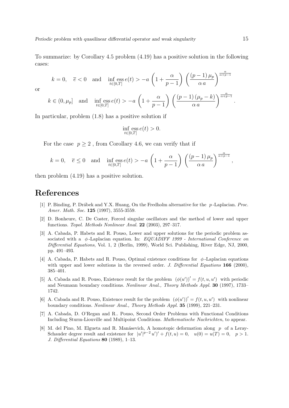To summarize: by Corollary 4.5 problem (4.19) has a positive solution in the following cases:

$$
k=0, \quad \overline{e} < 0 \quad \text{and} \quad \inf_{t \in [0,T]} \operatorname{ess} e(t) > -a \left(1 + \frac{\alpha}{p-1}\right) \left(\frac{(p-1)\,\mu_p}{\alpha\,a}\right)^{\frac{\alpha}{\alpha+p-1}}
$$

or

$$
k \in (0, \mu_p] \quad \text{and} \quad \inf_{t \in [0,T]} \text{ess } e(t) > -a \left( 1 + \frac{\alpha}{p-1} \right) \left( \frac{(p-1)(\mu_p - k)}{\alpha a} \right)^{\frac{\alpha}{\alpha + p - 1}}
$$

In particular, problem (1.8) has a positive solution if

$$
\inf_{t\in[0,T]}\operatorname{ess} e(t)>0.
$$

For the case  $p \geq 2$ , from Corollary 4.6, we can verify that if

$$
k=0,\quad \overline{e}\leq 0\quad \text{and}\quad \inf_{t\in [0,T]}{\rm ess}\,e(t)>-a\,\left(1+\frac{\alpha}{p-1}\right)\,\left(\frac{(p-1)\,\mu_p}{\alpha\,a}\right)^{\frac{\alpha}{\alpha+p-1}},
$$

then problem (4.19) has a positive solution.

## References

- [1] P. Binding, P. Drábek and Y.X. Huang, On the Fredholm alternative for the p-Laplacian. Proc. Amer. Math. Soc. 125 (1997), 3555-3559.
- [2] D. Bonheure, C. De Coster, Forced singular oscillators and the method of lower and upper functions. Topol. Methods Nonlinear Anal. 22 (2003), 297–317.
- [3] A. Cabada, P. Habets and R. Pouso, Lower and upper solutions for the periodic problem associated with a  $\phi$ -Laplacian equation. In: EQUADIFF 1999 - International Conference on Differential Equations, Vol. 1, 2 (Berlin, 1999), World Sci. Publishing, River Edge, NJ, 2000, pp. 491–493.
- [4] A. Cabada, P. Habets and R. Pouso, Optimal existence conditions for  $\phi$ -Laplacian equations with upper and lower solutions in the reversed order. J. Differential Equations 166 (2000), 385–401.
- [5] A. Cabada and R. Pouso, Existence result for the problem  $(\phi(u'))' = f(t, u, u')$  with periodic and Neumann boundary conditions. Nonlinear Anal., Theory Methods Appl. 30 (1997), 1733– 1742.
- [6] A. Cabada and R. Pouso, Existence result for the problem  $(\phi(u'))' = f(t, u, u')$  with nonlinear boundary conditions. Nonlinear Anal., Theory Methods Appl. 35 (1999), 221–231.
- [7] A. Cabada, D. O'Regan and R.. Pouso, Second Order Problems with Functional Conditions Including Sturm-Liouville and Multipoint Conditions. Mathematische Nachrichten, to appear.
- [8] M. del Pino, M. Elgueta and R. Manásevich, A homotopic deformation along  $p$  of a Leray-Schauder degree result and existence for  $|u'|^{p-2}u'$ ,  $f(t, u) = 0$ ,  $u(0) = u(T) = 0$ ,  $p > 1$ . J. Differential Equations 80 (1989), 1–13.

.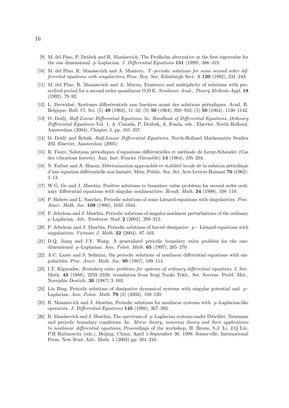- [9] M. del Pino, P. Drábek and R. Manásevich, The Fredholm alternative at the first eigenvalue for the one dimensional p-Laplacian. J. Differential Equations  $151$  (1999), 386–419.
- [10] M. del Pino, R. Manásevich and A. Montero, T-periodic solutions for some second order differential equations with singularities, Proc. Roy. Soc. Edinburgh Sect. A 120 (1992), 231–243.
- [11] M. del Pino, R. Manásevich and A. Murúa, Existence and multiplicity of solutions with prescribed period for a second order quasilinear O.D.E. Nonlinear Anal., Theory Methods Appl. 18 (1992), 79–92.
- [12] L. Derwidué, Systèmes differérentiels non lineaires ayant des solutions périodiques. Acad. R. Belgique, Bull. Cl. Sci. (5) 49 (1963), 11–32; (5) 50 (1964), 928–942; (5) 50 (1964), 1130–1142.
- [13] O. Došlý, Half-Linear Differential Equations. In: Handbook of Differential Equations, Ordinary Differential Equations Vol. 1, A. Caňada, P. Drábek, A. Fonda, eds., Elsevier, North Holland, Amsterdam (2004), Chapter 3, pp. 161–357.
- [14] O. Došlý and Rehák, *Half-Linear Differential Equations*. North-Holland Mathematics Studies 202, Elsevier, Amsterdam (2005).
- [15] R. Faure, Solutions périodiques d'equations différentielles et mèthode de Leray-Schauder (Cas des vibrations forceés). Ann. Inst. Fourier (Grenoble) 14 (1964), 195–204.
- [16] N. Forbat and A. Huaux, Détermination approachée et stabilité locale de la solution périodique d'une equation différentielle non linéaire. Mém. Public. Soc. Sci. Arts Letters Hainaut 76 (1962), 3–13.
- [17] W.G. Ge and J. Mawhin, Positive solutions to boundary value problems for second order ordinary differential equations with singular nonlinearities. Result. Math. 34 (1998), 108–119.
- [18] P. Habets and L. Sanchez, Periodic solutions of some Liénard equations with singularities. Proc. Amer. Math. Soc. 109 (1990), 1035–1044.
- [19] P. Jebelean and J. Mawhin, Periodic solutions of singular nonlinear perturbations of the ordinary p -Laplacian. Adv. Nonlinear Stud. 2 (2002), 299–312.
- [20] P. Jebelean and J. Mawhin, Periodic solutions of forced dissipative  $p-$  Liénard equations with singularities. *Vietnam J. Math.* **32** (2004), 97–103.
- [21] D.Q. Jiang and J.Y. Wang, A generalized periodic boundary value problem for the onedimensional p-Laplacian. Ann. Polon. Math.  $65$  (1997), 265–270.
- [22] A.C. Lazer and S. Solimini, On periodic solutions of nonlinear differential equations with singularities. Proc. Amer. Math. Soc. 99 (1987), 109–114.
- [23] I.T. Kiguradze, Boundary value problems for systems of ordinary differential equations. J. Sov. Math. 43 (1988), 2259–2339; translation from Itogi Nauki Tekh., Ser. Sovrem. Probl. Mat., Novejshie Dostizh. 30 (1987) 3–103.
- [24] Liu Bing, Periodic solutions of dissipative dynamical systems with singular potential and  $p$ -Laplacian. Ann. Polon. Math. 79 (2) (2002), 109–120.
- [25] R. Manásevich and J. Mawhin, Periodic solutions for nonlinear systems with  $p$ -Laplacian-like operators. J. Differential Equations 145 (1998), 367–393.
- [26] R. Manásevich and J. Mawhin, The spectrum of  $p$ -Laplacian systems under Dirichlet, Neumann and periodic boundary conditions. In: Morse theory, minimax theory and their applications to nonlinear differential equations, Proceedings of the workshop, H. Brezis, S.J. Li, J.Q Liu, P.H Rabinowitz (eds.), Beijing, China, April 1-September 30, 1999. Somerville, International Press. New Stud. Adv. Math. 1 (2003) pp. 201–216.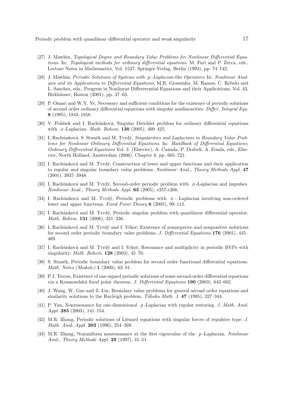- [27] J. Mawhin, Topological Degree and Boundary Value Problems for Nonlinear Differential Equations. In: Topological methods for ordinary differential equations, M. Furi and P. Zecca, eds., Lecture Notes in Mathematics, Vol. 1537, Springer-Verlag, Berlin (1993), pp. 74–142.
- [28] J. Mawhin, Periodic Solutions of Systems with p -Laplacian-like Operators. In: Nonlinear Analysis and its Applications to Differential Equations, M.R. Grossinho, M. Ramos, C. Rebelo and L. Sanchez, eds., Progress in Nonlinear Differerential Equations and their Applications, Vol. 43, Birkhäuser, Boston (2001), pp. 37–63.
- [29] P. Omari and W.Y. Ye, Necessary and sufficient conditions for the existence of periodic solutions of second order ordinary differential equations with singular nonlinearities. Differ. Integral Equ. 8 (1995), 1843–1858.
- [30] V. Polášek and I. Rachůnková, Singular Dirichlet problem for ordinary differential equations with  $\phi$ -Laplacian. *Math. Bohem.* **130** (2005), 409-425.
- [31] I. Rachůnková, S. Staněk and M. Tvrdý, Singularities and Laplacians in Boundary Value Problems for Nonlinear Ordinary Differential Equations. In: Handbook of Differential Equations, Ordinary Differential Equations Vol. 3 (Elsevier), A. Caňada, P. Drábek, A. Fonda, eds., Elsevier, North Holland, Amsterdam (2006), Chapter 6, pp. 605–721.
- [32] I. Rachůnková and M. Tvrdý, Construction of lower and upper functions and their application to regular and singular boundary value problems. Nonlinear Anal., Theory Methods Appl. 47 (2001), 3937–3948.
- [33] I. Rachůnková and M. Tvrdý, Second-order periodic problem with  $\phi$ -Laplacian and impulses. Nonlinear Anal., Theory Methods Appl. 63 (2005), e257-e266.
- [34] I. Rachůnková and M. Tvrdý, Periodic problems with  $\phi$  Laplacian involving non-ordered lower and upper functions. Fixed Point Theory 6 (2005), 99–112.
- [35] I. Rachůnková and M. Tvrdý, Periodic singular problem with quasilinear differential operator. Math. Bohem. 131 (2006), 321–336.
- [36] I. Rachůnková and M. Tvrdý and I. Vrkoč, Existence of nonnegative and nonpositive nolutions for second order periodic boundary value problems. J. Differential Equations 176 (2001), 445– 469.
- [37] I. Rachůnková and M. Tvrdý and I. Vrkoč, Resonance and multiplicity in periodic BVPs with singularity. Math. Bohem. 128 (2003), 45–70.
- [38] S. Staněk, Periodic boundary value problem for second order functional differential equations. Math. Notes (Miskolc) 1 (2000), 63–81.
- [39] P.J. Torres, Existence of one-signed periodic solutions of some second-order differential equations via a Krasnoselskii fixed point theorem. J. Differential Equations 190 (2003), 643–662.
- [40] J. Wang, W. Gao and Z. Lin, Boundary value problems for general second order equations and similarity solutions to the Rayleigh problem. Tôhoku Math. J. 47 (1995), 327–344.
- [41] P. Yan, Nonresonance for one-dimensional p -Laplacian with regular restoring. J. Math. Anal. Appl. 285 (2003), 141–154.
- [42] M.R. Zhang, Periodic solutions of Liénard equations with singular forces of repulsive type. J. Math. Anal. Appl. 203 (1996), 254–269.
- [43] M.R. Zhang, Nonuniform nonresonance at the first eigenvalue of the p -Laplacian. Nonlinear Anal., Theory Methods Appl. 29 (1997), 41–51.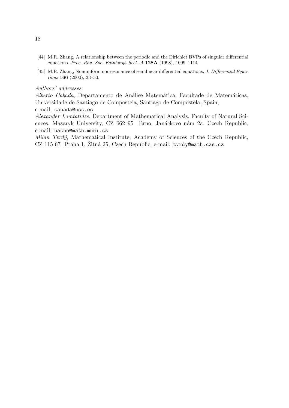- [44] M.R. Zhang, A relationship between the periodic and the Dirichlet BVPs of singular differential equations. Proc. Roy. Soc. Edinburgh Sect. A 128A (1998), 1099–1114.
- [45] M.R. Zhang, Nonuniform nonresonance of semilinear differential equations. J. Differential Equations **166** (2000), 33-50.

#### Authors' addresses:

Alberto Cabada, Departamento de Análise Matemática, Facultade de Matemáticas, Universidade de Santiago de Compostela, Santiago de Compostela, Spain, e-mail: cabada@usc.es

Alexander Lomtatidze, Department of Mathematical Analysis, Faculty of Natural Sciences, Masaryk University, CZ 662 95 Brno, Janáckovo nám 2a, Czech Republic, e-mail: bacho@math.muni.cz

Milan Tvrdý, Mathematical Institute, Academy of Sciences of the Czech Republic, CZ 115 67 Praha 1, Zitná 25, Czech Republic, e-mail: tvrdy@math.cas.cz